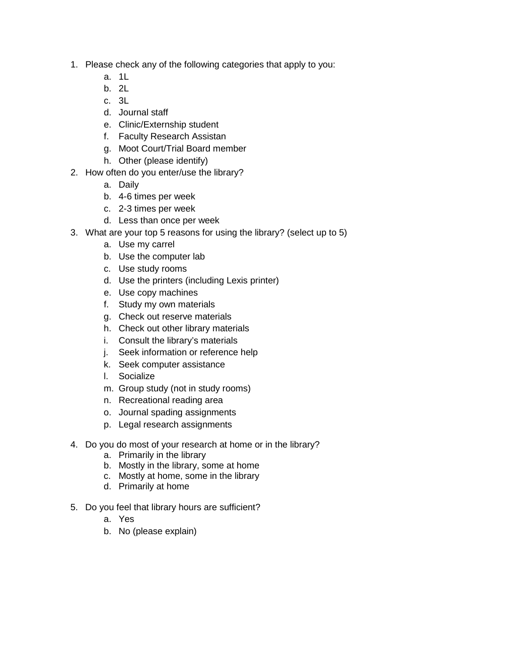- 1. Please check any of the following categories that apply to you:
	- a. 1L
	- b. 2L
	- c. 3L
	- d. Journal staff
	- e. Clinic/Externship student
	- f. Faculty Research Assistan
	- g. Moot Court/Trial Board member
	- h. Other (please identify)
- 2. How often do you enter/use the library?
	- a. Daily
	- b. 4-6 times per week
	- c. 2-3 times per week
	- d. Less than once per week
- 3. What are your top 5 reasons for using the library? (select up to 5)
	- a. Use my carrel
	- b. Use the computer lab
	- c. Use study rooms
	- d. Use the printers (including Lexis printer)
	- e. Use copy machines
	- f. Study my own materials
	- g. Check out reserve materials
	- h. Check out other library materials
	- i. Consult the library's materials
	- j. Seek information or reference help
	- k. Seek computer assistance
	- l. Socialize
	- m. Group study (not in study rooms)
	- n. Recreational reading area
	- o. Journal spading assignments
	- p. Legal research assignments
- 4. Do you do most of your research at home or in the library?
	- a. Primarily in the library
	- b. Mostly in the library, some at home
	- c. Mostly at home, some in the library
	- d. Primarily at home
- 5. Do you feel that library hours are sufficient?
	- a. Yes
	- b. No (please explain)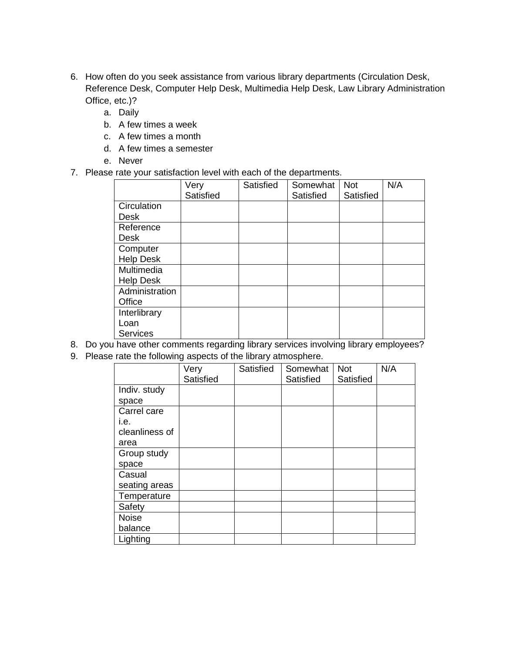- 6. How often do you seek assistance from various library departments (Circulation Desk, Reference Desk, Computer Help Desk, Multimedia Help Desk, Law Library Administration Office, etc.)?
	- a. Daily
	- b. A few times a week
	- c. A few times a month
	- d. A few times a semester
	- e. Never
- 7. Please rate your satisfaction level with each of the departments.

|                  | Very      | Satisfied | Somewhat  | <b>Not</b> | N/A |
|------------------|-----------|-----------|-----------|------------|-----|
|                  | Satisfied |           | Satisfied | Satisfied  |     |
| Circulation      |           |           |           |            |     |
| Desk             |           |           |           |            |     |
| Reference        |           |           |           |            |     |
| Desk             |           |           |           |            |     |
| Computer         |           |           |           |            |     |
| <b>Help Desk</b> |           |           |           |            |     |
| Multimedia       |           |           |           |            |     |
| <b>Help Desk</b> |           |           |           |            |     |
| Administration   |           |           |           |            |     |
| Office           |           |           |           |            |     |
| Interlibrary     |           |           |           |            |     |
| Loan             |           |           |           |            |     |
| <b>Services</b>  |           |           |           |            |     |

- 8. Do you have other comments regarding library services involving library employees?
- 9. Please rate the following aspects of the library atmosphere.

|                | Very<br>Satisfied | Satisfied | Somewhat<br>Satisfied | <b>Not</b><br>Satisfied | N/A |
|----------------|-------------------|-----------|-----------------------|-------------------------|-----|
| Indiv. study   |                   |           |                       |                         |     |
| space          |                   |           |                       |                         |     |
| Carrel care    |                   |           |                       |                         |     |
| i.e.           |                   |           |                       |                         |     |
| cleanliness of |                   |           |                       |                         |     |
| area           |                   |           |                       |                         |     |
| Group study    |                   |           |                       |                         |     |
| space          |                   |           |                       |                         |     |
| Casual         |                   |           |                       |                         |     |
| seating areas  |                   |           |                       |                         |     |
| Temperature    |                   |           |                       |                         |     |
| Safety         |                   |           |                       |                         |     |
| <b>Noise</b>   |                   |           |                       |                         |     |
| balance        |                   |           |                       |                         |     |
| Lighting       |                   |           |                       |                         |     |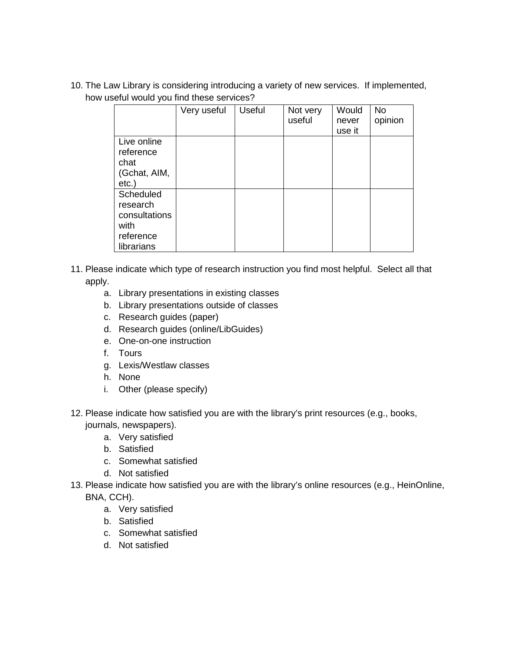10. The Law Library is considering introducing a variety of new services. If implemented, how useful would you find these services?

|                                                                           | Very useful | <b>Useful</b> | Not very<br>useful | Would<br>never<br>use it | <b>No</b><br>opinion |
|---------------------------------------------------------------------------|-------------|---------------|--------------------|--------------------------|----------------------|
| Live online<br>reference<br>chat<br>(Gchat, AIM,<br>$etc.$ )              |             |               |                    |                          |                      |
| Scheduled<br>research<br>consultations<br>with<br>reference<br>librarians |             |               |                    |                          |                      |

- 11. Please indicate which type of research instruction you find most helpful. Select all that apply.
	- a. Library presentations in existing classes
	- b. Library presentations outside of classes
	- c. Research guides (paper)
	- d. Research guides (online/LibGuides)
	- e. One-on-one instruction
	- f. Tours
	- g. Lexis/Westlaw classes
	- h. None
	- i. Other (please specify)
- 12. Please indicate how satisfied you are with the library's print resources (e.g., books, journals, newspapers).
	- a. Very satisfied
	- b. Satisfied
	- c. Somewhat satisfied
	- d. Not satisfied
- 13. Please indicate how satisfied you are with the library's online resources (e.g., HeinOnline, BNA, CCH).
	- a. Very satisfied
	- b. Satisfied
	- c. Somewhat satisfied
	- d. Not satisfied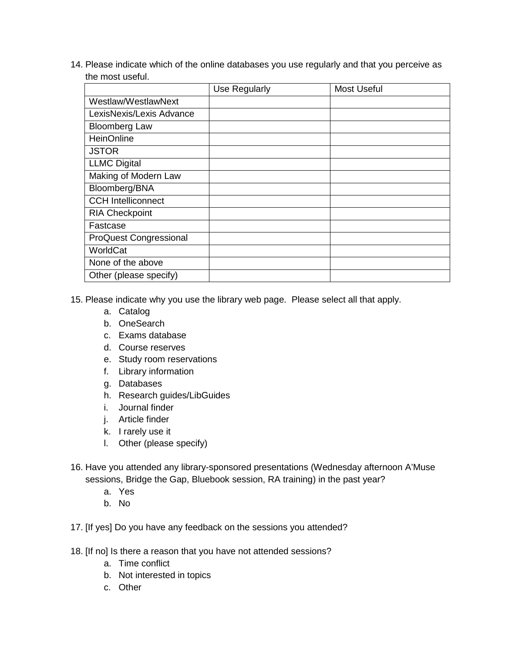14. Please indicate which of the online databases you use regularly and that you perceive as the most useful.

|                               | Use Regularly | <b>Most Useful</b> |
|-------------------------------|---------------|--------------------|
| Westlaw/WestlawNext           |               |                    |
| LexisNexis/Lexis Advance      |               |                    |
| <b>Bloomberg Law</b>          |               |                    |
| <b>HeinOnline</b>             |               |                    |
| <b>JSTOR</b>                  |               |                    |
| <b>LLMC Digital</b>           |               |                    |
| Making of Modern Law          |               |                    |
| Bloomberg/BNA                 |               |                    |
| <b>CCH Intelliconnect</b>     |               |                    |
| <b>RIA Checkpoint</b>         |               |                    |
| Fastcase                      |               |                    |
| <b>ProQuest Congressional</b> |               |                    |
| WorldCat                      |               |                    |
| None of the above             |               |                    |
| Other (please specify)        |               |                    |

- 15. Please indicate why you use the library web page. Please select all that apply.
	- a. Catalog
	- b. OneSearch
	- c. Exams database
	- d. Course reserves
	- e. Study room reservations
	- f. Library information
	- g. Databases
	- h. Research guides/LibGuides
	- i. Journal finder
	- j. Article finder
	- k. I rarely use it
	- l. Other (please specify)
- 16. Have you attended any library-sponsored presentations (Wednesday afternoon A'Muse sessions, Bridge the Gap, Bluebook session, RA training) in the past year?
	- a. Yes
	- b. No
- 17. [If yes] Do you have any feedback on the sessions you attended?
- 18. [If no] Is there a reason that you have not attended sessions?
	- a. Time conflict
	- b. Not interested in topics
	- c. Other